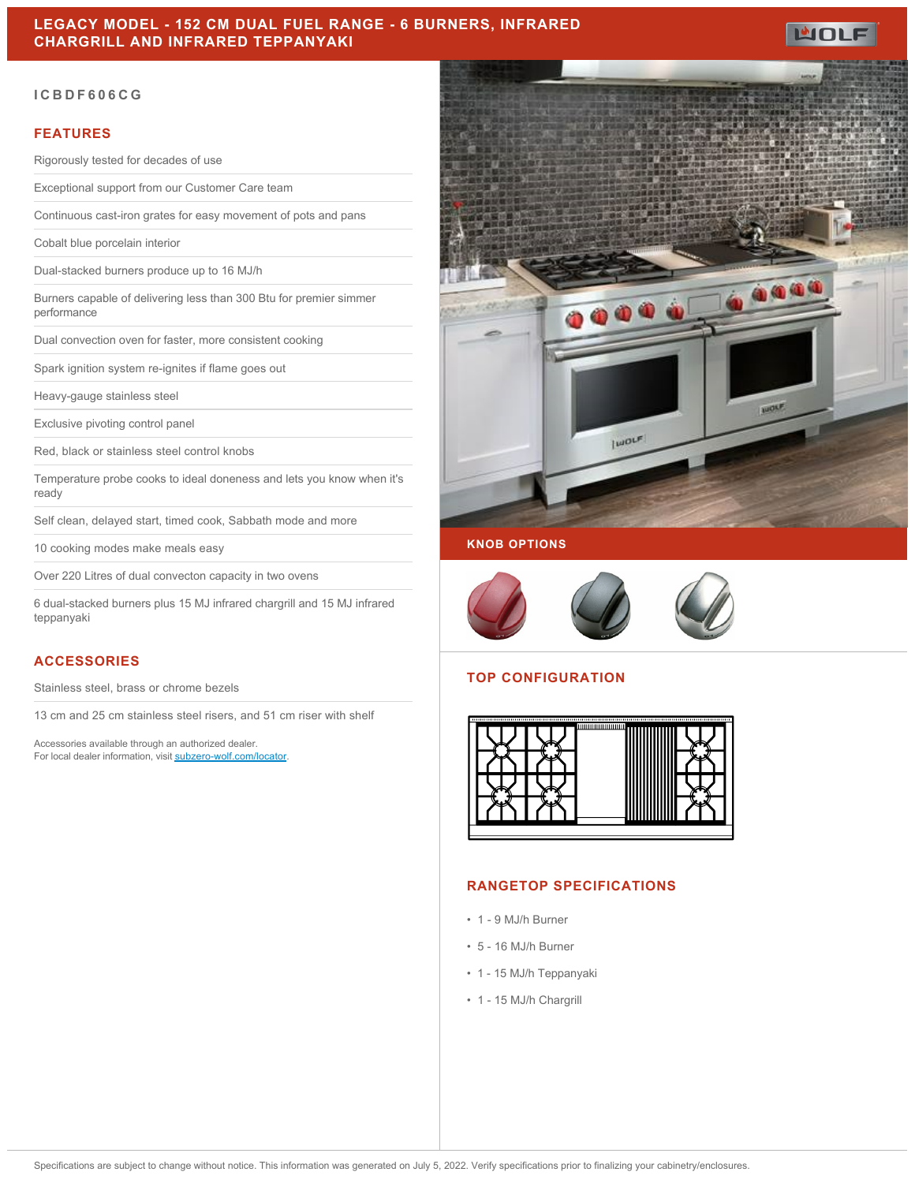

#### **ICBDF606CG**

#### **FEATURES**

Rigorously tested for decades of use

Exceptional support from our Customer Care team

Continuous cast-iron grates for easy movement of pots and pans

Cobalt blue porcelain interior

Dual-stacked burners produce up to 16 MJ/h

Burners capable of delivering less than 300 Btu for premier simmer performance

Dual convection oven for faster, more consistent cooking

Spark ignition system re-ignites if flame goes out

Heavy-gauge stainless steel

Exclusive pivoting control panel

Red, black or stainless steel control knobs

Temperature probe cooks to ideal doneness and lets you know when it's ready

Self clean, delayed start, timed cook, Sabbath mode and more

10 cooking modes make meals easy

Over 220 Litres of dual convecton capacity in two ovens

6 dual-stacked burners plus 15 MJ infrared chargrill and 15 MJ infrared teppanyaki

## **ACCESSORIES**

Stainless steel, brass or chrome bezels

13 cm and 25 cm stainless steel risers, and 51 cm riser with shelf

Accessories available through an authorized dealer. For local dealer information, visit [subzero-wolf.com/locator.](http://www.subzero-wolf.com/locator)



#### **KNOB OPTIONS**



## **TOP CONFIGURATION**



#### **RANGETOP SPECIFICATIONS**

- 1 9 MJ/h Burner
- 5 16 MJ/h Burner
- 1 15 MJ/h Teppanyaki
- 1 15 MJ/h Chargrill